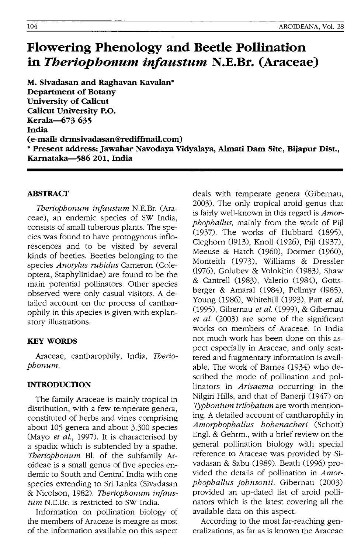# **Flowering Phenology and Beede Pollination in** *Theriophonum infaustum* **N.E.Br. (Araceae)**

**M. Sivadasan and Raghavan Kavalan\* Department of Botany University of CaJicut CaJicut University P.O. Kerala-673 635 India (e-mail: drmsivadasan@rediffmail.com)**  .. **Present address: Jawahar Navodaya Vidyalaya, Almati Dam Site, Bijapur Dist., Karnataka-5S6 201, India** 

#### **ABSTRACT**

*Tberiophonum injaustum* N.E.Br. (Araceae), an endemic species of SW India, consists of small tuberous plants. The species was found to have protogynous inflorescences and to be visited by several kinds of beetles. Beetles belonging to the species *Anotylus rubidus* Cameron (Coleoptera, Staphylinidae) are found to be the main potential pollinators. Other species observed were only casual visitors. A detailed account on the process of cantharophily in this species is given with explanatory illustrations.

# **KEYWORDS**

Araceae, cantharophily, India, *Tberiophonum.* 

# **INTRODUCTION**

The family Araceae is mainly tropical in distribution, with a few temperate genera, constituted of herbs and vines comprising about 105 genera and about 3,300 species (Mayo *et al.,* 1997). It is characterised by a spadix which is subtended by a spathe. *Tberiophonum* B1. of the subfamily Aroideae is a small genus of five species endemic to South and Central India with one species extending to Sri Lanka (Sivadasan & Nicolson, 1982). *Tberiophonum injaustum* N.E.Br. is restricted to SW India.

Information on pollination biology of the members of Araceae is meagre as most of the information available on this aspect

deals with temperate genera (Gibernau, 2003). The only tropical aroid genus that is fairly well-known in this regard is *Amorphophallus,* mainly from the work of Pijl (1937). The works of Hubbard (1895), Cleghorn (1913), Knoll (1926), Pijl (1937), Meeuse & Hatch (1960), Dormer (1960), Monteith (1973), Williams & Dressler (1976), Golubev & Volokitin (1983), Shaw & Cantrell (1983), Valerio (1984), Gottsberger & Amaral (1984), Pellmyr (1985), Young (986), Whitehill (993), Patt *et al.*  (995), Gibernau *et al.* (999), & Gibernau *et al.* (2003) are some of the significant works on members of Araceae. In India not much work has been done on this aspect especially in Araceae, and only scattered and fragmentary information is available. The work of Barnes (1934) who described the mode of pollination and pollinators in *Arisaema* occurring in the Nilgiri Hills, and that of Banerji (1947) on *Typhonium trilobatum* are worth mentioning. A detailed account of cantharophily in *Amorphophallus hohenacheri* (Schott) Eng1. & Gehrm., with a brief review on the general pollination biology with special reference to Araceae was provided by Sivadasan & Sabu (1989). Beath (1996) provided the details of pollination in *Amorphophallus johnsonii.* Gibernau (2003) provided an up-dated list of aroid pollinators which is the latest covering all the available data on this aspect.

According to the most far-reaching generalizations, as far as is known the Araceae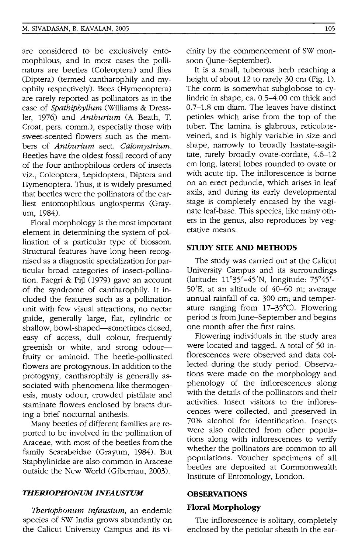are considered to be exclusively entomophilous, and in most cases the pollinators are beetles (Coleoptera) and flies (Diptera) (termed cantharophily and myophily respectively). Bees (Hymenoptera) are rarely reported as pollinators as in the case of *Spathiphyllum* (Williams & Dressler, 1976) and *Anthurium* (A Beath, T. Croat, pers. comm.), especially those with sweet-scented flowers such as the members of *Anthurium* sect. *Calomystrium.*  Beetles have the oldest fossil record of any of the four anthophilous orders of insects viz., Coleoptera, Lepidoptera, Diptera and Hymenoptera. Thus, it is widely presumed that beetles were the pollinators of the earliest entomophilous angiosperms (Grayurn, 1984).

Floral morphology is the most important element in determining the system of pollination of a particular type of blossom. Structural features have long been recognised as a diagnostic specialization for particular broad categories of insect-pollination. Faegri & Pijl (1979) gave an account of the syndrome of cantharophily. It included the features such as a pollination unit with few visual attractions, no nectar guide, generally large, flat, cylindric or shallow, bowl-shaped-sometimes closed, easy of access, dull colour, frequently greenish or white, and strong odourfruity or aminoid. The beetle-pollinated flowers are protogynous. In addition to the protogyny, cantharophily is generally associated with phenomena like thermogenesis, musty odour, crowded pistillate and staminate flowers enclosed by bracts during a brief nocturnal anthesis.

Many beetles of different families are reported to be involved in the pollination of Araceae, with most of the beetles from the family Scarabeidae (Grayum, 1984). But Staphylinidae are also common in Araceae outside the New World (Gibernau, 2003).

#### *THERIOPHONUM INFAUSTUM*

*Theriophonum infaustum,* an endemic species of SW India grows abundantly on the Calicut University Campus and its vicinity by the commencement of SW monsoon (June-September).

It is a small, tuberous herb reaching a height of about 12 to rarely 30 cm (Fig. 1). The corm is somewhat subglobose to cylindric in shape, ca. 0.5-4.00 cm thick and 0.7-1.8 cm diam. The leaves have distinct petioles which arise from the top of the tuber. The lamina is glabrous, reticulateveined, and is highly variable in size and shape, narrowly to broadly hastate-sagittate, rarely broadly ovate-cordate, 4.6-12 cm long, lateral lobes rounded to ovate or with acute tip. The inflorescence is borne on an erect peduncle, which arises in leaf axils, and during its early developmental stage is completely encased by the vaginate leaf-base. This species, like many others in the genus, also reproduces by vegetative means.

#### **STUDY SITE AND METHODS**

The study was carried out at the Calicut University Campus and its surroundings (latitude: 11°35'-45'N, longitude: 75°45'- 50'E, at an altitude of 40-60 m; average annual rainfall of ca. 300 cm; and temperature ranging from 17-35°C). Flowering period is from June-September and begins one month after the first rains.

Flowering individuals in the study area were located and tagged. A total of 50 inflorescences were observed and data collected during the study period. Observations were made on the morphology and phenology of the inflorescences along with the details of the pollinators and their activities. Insect visitors to the inflorescences were collected, and preserved in 70% alcohol for identification. Insects were also collected from other populations along with inflorescences to verify whether the pollinators are common to all populations. Voucher specimens of all beetles are deposited at Commonwealth Institute of Entomology, London.

#### **OBSERVATIONS**

# **Floral Morphology**

The inflorescence is solitary, completely enclosed by the petiolar sheath in the ear-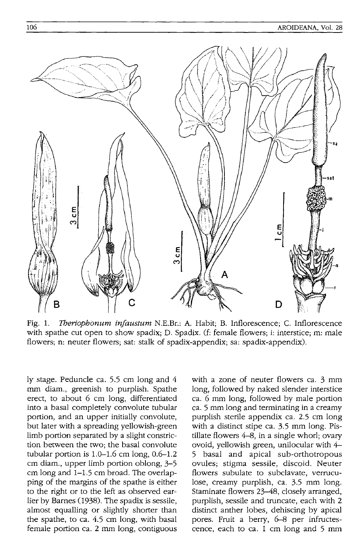

Fig. 1. *Tberiopbonum inJaustum* N.E.Br.: A. Habit; B. Inflorescence; C. Inflorescence with spathe cut open to show spadix; D. Spadix. (f: female flowers; i: interstice; m: male flowers; n: neuter flowers; sat: stalk of spadix-appendix; sa: spadix-appendix).

ly stage. Peduncle ca. 5.5 cm long and 4 mm diam., greenish to purplish. Spathe erect, to about 6 cm long, differentiated into a basal completely convolute tubular portion, and an upper initially convolute, but later with a spreading yellowish-green limb portion separated by a slight constriction between the two; the basal convolute tubular portion is  $1.0-1.6$  cm long,  $0.6-1.2$ cm diam., upper limb portion oblong, 3-5 cm long and 1-1.5 cm broad. The overlapping of the margins of the spathe is either to the right or to the left as observed earlier by Barnes (1938). The spadix is sessile, almost equalling or slightly shorter than the spathe, to ca. 4.5 cm long, with basal female portion ca. 2 mm long, contiguous

with a zone of neuter flowers ca. 3 mm long, followed by naked slender interstice ca. 6 mm long, followed by male portion ca. 5 mm long and terminating in a creamy purplish sterile appendix ca. 2.5 cm long with a distinct stipe ca. 3.5 mm long. Pistillate flowers  $4-8$ , in a single whorl; ovary ovoid, yellowish green, unilocular with 4- 5 basal and apical sub-orthotropous ovules; stigma sessile, discoid. Neuter flowers subulate to subclavate, verruculose, creamy purplish, ca. 3.5 mm long. Staminate flowers 23-48, closely arranged, purplish, sessile and truncate, each with 2 distinct anther lobes, dehiscing by apical pores. Fruit a berry, 6-8 per infructescence, each to ca.  $1 \text{ cm}$  long and  $5 \text{ mm}$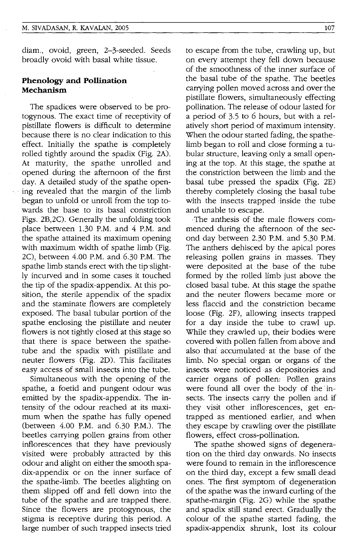diam., ovoid, green, 2-3-seeded. Seeds broadly ovoid with basal white tissue.

# **Phenology and Pollination Mechanism**

The spadices were observed to be protogynous. The exact time of receptivity of pistillate flowers is difficult to determine because there is no clear indication to this effect. Initially the spathe is completely rolled tightly around the spadix (Fig.2A). At maturity, the spathe unrolled and opened during the afternoon of the first day. A detailed study of the spathe opening revealed that the margin of the limb began to unfold or unroll from the top towards the base to its basal constriction Figs. 2B,2C). Generally the unfolding took place between 1.30 P.M. and 4 P.M. and the spathe attained its maximum opening with maximum width of spathe limb (Fig. 2C), between 4.00 P.M. and 6.30 P.M. The spathe limb stands erect with the tip slightly incurved and in some cases it touched the tip of the spadix-appendix. At this position, the sterile appendix of the spadix and the staminate flowers are completely exposed. The basal tubular portion of the spathe enclosing the pistillate and neuter flowers is not tightly closed at this stage so that there is space between the spathetube and the spadix with pistillate and neuter flowers (Fig. 2D). This facilitates easy access of small insects into the tube.

Simultaneous with the opening of the spathe, a foetid and pungent odour was emitted by the spadix-appendix. The intensity of the odour reached at its maximum when the spathe has fully opened (between 4.00 P.M. and 6.30 P.M.). The beetles carrying pollen grains from other inflorescences that they have previously visited were probably attracted by this odour and alight on either the smooth spadix-appendix or on the inner surface of the spathe-limb. The beetles alighting on them slipped off and fell down into the tube of the spathe and are trapped there. Since the flowers are protogynous, the stigma is receptive during this period. A large number of such trapped insects tried

to escape from the tube, crawling up, but on every attempt they fell down because of the smoothness of the inner surface of the basal tube of the spathe. The beetles carrying pollen moved across and overthe pistillate flowers, Simultaneously effecting pollination. The release of odour lasted for a period of 3.5 to 6 hours, but with a relatively short period of maximum intensity. When the odour started fading, the spathelimb began to roll and close forming a tubular structure, leaving only a small opening. at the top. At this stage, the spathe at the constriction between the limb and the basal tube pressed the spadix (Fig. 2E) -thereby completely closing the basal tube with the insects trapped inside the tube and unable to escape.

The anthesis of the male flowers commenced during the afternoon of the second day between 2,30P:M. and 5.30 P.M. The anthers dehisced by the apical pores releasing pollen grains in masses. They were deposited at the base of the tube formed by the rolled limb just above the closed basal tube. At this stage the spathe and the neuter flowers became more or less flaccid and the constriction became loose (Fig. 2F), allowing insects trapped for a day inside the tube to crawl up. While they crawled up, their bodies were covered with pollen fallen from above and also that accumulated at the base of the limb. No special organ or organs of the insects were noticed as depositories and carrier organs of pollen: Pollen grains were found all over the body of the insects. The insects carry the pollen and if they visit other inflorescences, get entrapped as mentioned earlier, and when they escape by crawling over.the pistillate flowers, effect cross-pollination.

The spathe showed signs of degeneration on the third day onwards. No insects were found to remain in the inflorescence on the third day, except a few small dead ones. The first symptom of. degeneration of the spathe was the inward curling of the spathe-margin (Fig. 2G) while the spathe and spadix still stand erect. Gradually the colour of the spathe started fading, the spadix-appendix shrunk, lost its colour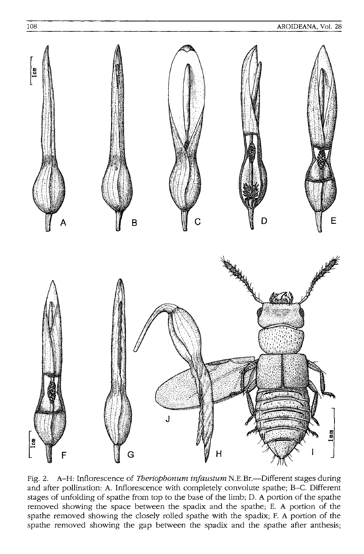

Fig. 2. A-H: Inflorescence of *Theriophonum injaustum* N.E.Br.-Different stages during and after pollination: A. Inflorescence with completely convolute spathe; *B-C.* Different stages of unfolding of spathe from top to the base of the limb; D. A portion of the spathe removed showing the space between the spadix and the spathe; E. A portion of the spathe removed showing the closely rolled spathe with the spadix; F. A portion of the spathe removed showing the gap between the spadix and the spathe after anthesis;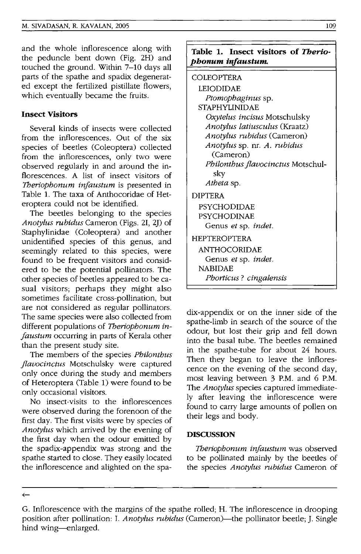and the whole inflorescence along with the peduncle bent down (Fig. 2H) and touched the ground. Within 7-10 days all parts of the spathe and spadix degenerated except the fertilized pistillate flowers, which eventually became the fruits.

# **Insect Visitors**

Several kinds of insects were collected from the inflorescences. Out of the six species of beetles (Coleoptera) collected from the inflorescences, only two were observed regularly in and around the inflorescences. A list of insect visitors of *Tberiophonum injaustum* is presented in Table 1. The taxa of Anthocoridae of Heteroptera could not be identified.

The beetles belonging to the species *Anotylus rubidus* Cameron (Figs. 21, *2J)* of Staphylinidae (Coleoptera) and another unidentified species of this genus, and seemingly related to this species, were found to be frequent visitors and considered to be the potential pollinators. The other species of beetles appeared to be casual visitors; perhaps they might also sometimes facilitate cross-pollination, but are not considered as regular pollinators. The same species were also collected from different populations of *Tberiophonum injaustum* occurring in parts of Kerala other than the present study site.

The members of the species *Philonthus flavocinctus* Motschulsky were captured only once during the study and members of Heteroptera (Table 1) were found to be only occasional visitors.

No insect-visits to the inflorescences were observed during the forenoon of the first day. The first visits were by species of *Anotylus* which arrived by the evening of the first day when the odour emitted by the spadix-appendix was strong and the spathe started to close. They easily located the inflorescence and alighted on the spa-

# **Table 1. Insect visitors of Therio***phonum infaustum.*

# COLEOPTERA

| LEIODIDAE                            |
|--------------------------------------|
| Ptomophaginus sp.                    |
| <b>STAPHYLINIDAE</b>                 |
| Oxytelus incisus Motschulsky         |
| <i>Anotylus latiusculus</i> (Kraatz) |
| Anotylus rubidus (Cameron)           |
| Anotylus sp. nr. A. rubidus          |
| (Cameron)                            |
| Philonthus flavocinctus Motschul-    |
| sky                                  |
| Atheta sp.                           |
| DIPTERA                              |
| PSYCHODIDAE                          |
| PSYCHODINAE                          |
| Genus <i>et</i> sp. <i>indet</i> .   |
| HEPTEROPTERA                         |
| <b>ANTHOCORIDAE</b>                  |
| Genus <i>et</i> sp. <i>indet</i> .   |
| <b>NABIDAE</b>                       |
| Phorticus? cingalensis               |
|                                      |

dix-appendix or on the inner side of the spathe-limb in search of the source of the odour, but lost their grip and fell down into the basal tube. The beetles remained in the spathe-tube for about 24 hours. Then they began to leave the inflorescence on the evening of the second day, most leaving between 3 P.M. and 6 P.M. The *Anotylus* species captured immediately after leaving the inflorescence were found to carry large amounts of pollen on their legs and body.

#### **DISCUSSION**

*Tberiophonum injaustum* was observed to be pollinated mainly by the beetles of the species *Anotylus rubidus* Cameron of

 $\leftarrow$ 

G. Inflorescence with the margins of the spathe rolled; H. The inflorescence in drooping position after pollination: I. *Anotylus rubidus* (Cameron)—the pollinator beetle; J. Single hind wing-enlarged.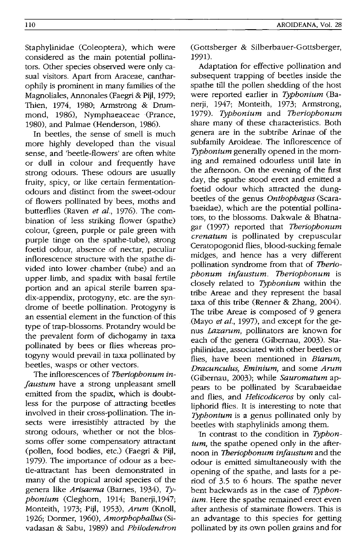Staphylinidae (Coleoptera), which were considered as the main potential pollinators. Other species observed were only casual visitors. Apart from Araceae, cantharophily is prominent in many families of the Magnoliales, Annonales (Faegri & Pijl, 1979; Thien, 1974, 1980; Armstrong & Drummond, 1986), Nymphaeaceae (Prance, 1980), and Palmae (Henderson, 1986).

In beetles, the sense of smell is much more highly developed than the visual sense, and'beetle-flowers' are often white or dull in colour and frequently have strong odours. These odours are usually fruity, spicy, or like certain fermentationodours and distinct from the sweet-odour of flowers pollinated by bees, moths and butterflies (Raven *et al.,* 1976). The combination of less striking flower (spathe) colour, (green, purple or pale green with purple tinge on the spathe-tube), strong foetid odour, absence of nectar, peculiar inflorescence structure with the· spathe divided into lower chamber (tube) and an upper limb, and spadix with basal fertile portion and an apical sterile barren spadix-appendix, protogyny, etc. are the syndrome of beetle pollination. Protogyny is an essential element in the function of this type of trap~blossoms. Protandry would-be the prevalent form of dichogamy in taxa pollinated by bees or flies whereas protogyny would prevail in taxa pollinated by beetles, wasps or other vectors.

The inflorescences of *7beriophonum injaustum* have a strong unpleasant smell emitted from the spadix, which is doubtless for the purpose of .attracting beetles involved in their cross-pollination. The insects were irresistibly attracted by the strong odours, whether or not the blossoms offer some compensatory attractant (pollen, food bodies, etc.) (Faegri & Pijl, 1979). The importance of odour as a beetle-attractant has been demonstrated in many of the tropical aroid species of the genera like *Arisaema* (Barnes, 1934), *Typhonium* (Cleghorn, 1914; Banerji,1947; Monteith, 1973; Pijl, 1953), *Arum* (Knoll, 1926; Dormer, 1960), *Amorphophallus* (Sivadasan & Sabu, 1989) and *Philodendron*  (Gottsberger & Silberbauer-Gottsberger, 1991).

Adaptation for effective pollination and subsequent trapping of beetles inside the spathe till the pollen shedding of the host were reported earlier in *Typhonium* (Banerji, 1947; Monteith, 1973; Armstrong, *1979). Typhonium* and *7beriophonum*  share many of these characteristics. Both genera are in the subtribe Arinae of the subfamily Aroideae. The inflorescence of *Typhonium* generally opened in the morning .and remained odourless until late in the afternoon. On the evening of the first day, the spathe stood erect and emitted a foetid odour which attracted the dungbeetles of the genus *Onthophagus* (Scarabaeidae), which are the potential pollinators, to the blossoms. Dakwale & Bhatnagar (1997) reported that *7beriophonum crenatum* is pollinated by crepuscular Ceratopogonid flies, blood-sucking female midges, and hence has a very different pollination syndrome from that of Therio*phonum injaustum. Theriophonum* is closely related to *Typhonium* within the tribe Areae and they represent the basal taxa of this tribe (Renner & Zhang, 2004). The tribe Areae is composed of 9 genera (Mayo *etal.,* 1997), and except for the genus *Lazarum,* pollinators are known for each of the genera (Gibernau, 2003). Staphilinidae, associated with other beetles or flies, have been mentioned in *Biarum, Dracunculus, Eminium,* and some *Arum*  (Gibernau, 2003); while *Sauromatum* appears to be pollinated by Scarabaeidae and flies, and *Helicodiceros* by only calliphorid flies. It is interesting to note that *Typhonium* is a genus pollinated only by beetles with staphylinids among them.

In contrast to the condition in *Typhonium*, the spathe opened only in the afternoon in *7beriophonum injaustum* and the odour is emitted simultaneously with the opening of the spathe, and lasts for a period of 3.5 to 6 hours. The spathe never bent backwards as in the case of *Typhontum*. Here the spathe remained erect even after anthesis of staminate flowers. This is an advantage to this species for getting pollinated by its own pollen grains and for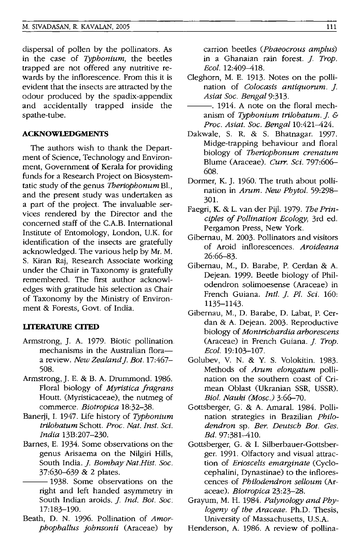dispersal of pollen by the pollinators. As in the case of *Typhonium,* the beetles trapped are not offered any nutritive rewards by the inflorescence. From this it is evident that the insects are attracted by the odour produced by the spadix-appendix and accidentally trapped inside the spathe-tube.

#### **ACKNOWLEDGMENTS**

The authors wish to thank the Department of Science, Technology and Environment, Government of Kerala for providing funds for a Research Project on Biosystemtatic study of the genus *Theriophonum* Bl., and the present study was undertaken as a part of the project. The invaluable services rendered by the Director and the concerned staff of the C.A.B. International Institute of Entomology, London, UK. for identification of the insects are gratefully acknowledged. The various help by Mr. M. S. Kiran Raj, Research Associate working under the Chair in Taxonomy is gratefully remembered. The first author acknowledges with gratitude his selection as Chair of Taxonomy by the Ministry of Environment & Forests, Govt. of India.

#### **LlTERATIlRE CITED**

- Armstrong, ]. A. 1979. Biotic pollination mechanisms in the Australian floraa review. *New Zealand]. Bot. 17:467-* 508.
- Armstrong,]. E. & B. A. Drummond. 1986. Floral biology of *Myristica fragrans*  Houtt. (Myristicaceae); the nutmeg of commerce. *Biotropica 18:32-38.*
- Banerji, 1. 1947. Life history of *Typhonium trilobatum* Schott. *Proc. Nat. Inst. Sci. India* 13B:207-230.
- Barnes, E. 1934. Some observations on the genus Arisaema on the Nilgiri Hills, South India. *J. Bombay Nat.Hist. Soc.* 37:630-639 & 2 plates.
	- -1938. Some observations on the right and left handed asymmetry in South Indian aroids. ]. *Ind. Bot. Soc.*  17:183-190.
- Beath, D. N. 1996. Pollination of *Amorphophallus johnsonii* (Araceae) by

carrion beetles *(Phaeocrous amplus)*  in a Ghanaian rain forest. ]. *Trop. Ecol.* 12:409-418.

- Cleghorn, M. E. 1913. Notes on the pollination of *Colocasis antiquorum.* ]. *Asiat Soc. Bengal* 9:313.
- $-$ . 1914. A note on the floral mechanism of *Typhonium trilobatum.].* & *Proc. Asiat. Soc. Bengal* 10:421-424.
- Dakwale, S. R. & S. Bhatnagar. 1997. Midge-trapping behaviour and floral biology of *Theriophonum crenatum*  Blume (Araceae). *Curr. Sci.* 797:606-608.
- Dormer, K.]. 1960. The truth about pollination in *Arum. New Phytol. 59:298-* 301.
- Faegri, K. & L. van der PijI. 1979. *The Principles of Pollination Ecology,* 3rd ed. Pergamon Press, New York.
- Gibernau, M. 2003. Pollinators and visitors of Aroid inflorescences. *Aroideana*  26:66-83.
- Gibernau, M., D. Barabe, P. Cerdan & A. Dejean. 1999. Beetle biology of Philodendron solimoesense (Araceae) in French Guiana. *IntI.]. Pl. Sci. 160:*  1135-1143.
- Gibernau, M., D. Barabe, D. Labat, P. Cerdan & A. Dejean. 2003. Reproductive biology of *Montrichardia arborescens*  (Araceae) in French Guiana.]. *Trop. Ecol. 19:103-107.*
- Golubev, V. N. & Y. S. Volokitin. 1983. Methods of *Arum elongatum* pollination on the southern coast of Crimean Oblast (Ukranian SSR, USSR). *BioI. Nauki (Mosc.) 3:66-70.*
- Gottsberger, G: & A. Amaral. 1984. Pollination strategies in Brazilian *Philodendron* sp. *Ber. Deutsch Bot. Ges. Bd.* 97:381-410.
- Gottsberger, G. & 1. Silberbauer-Gottsberger. 1991. Olfactory and visual attraction of *Erioscelis emarginate* (Cyclocephalini, Dynastinae) to the inflorescences of *Philodendron selloum* (Araceae). *Biotropica 23:23-28.*
- Grayum, M. H. 1984. *Palynology and Phylogeny of the Araceae.* Ph.D: Thesis, University of Massachusetts, US.A.
- Henderson, A. 1986. A review of pollina-